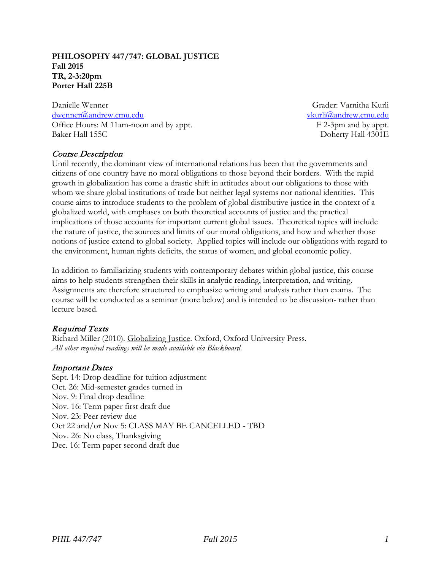#### **PHILOSOPHY 447/747: GLOBAL JUSTICE Fall 2015 TR, 2-3:20pm Porter Hall 225B**

Danielle Wenner [dwenner@andrew.cmu.edu](mailto:dwenner@andrew.cmu.edu) Office Hours: M 11am-noon and by appt. Baker Hall 155C

Grader: Varnitha Kurli [vkurli@andrew.cmu.edu](mailto:vkurli@andrew.cmu.edu) F 2-3pm and by appt. Doherty Hall 4301E

# Course Description

Until recently, the dominant view of international relations has been that the governments and citizens of one country have no moral obligations to those beyond their borders. With the rapid growth in globalization has come a drastic shift in attitudes about our obligations to those with whom we share global institutions of trade but neither legal systems nor national identities. This course aims to introduce students to the problem of global distributive justice in the context of a globalized world, with emphases on both theoretical accounts of justice and the practical implications of those accounts for important current global issues. Theoretical topics will include the nature of justice, the sources and limits of our moral obligations, and how and whether those notions of justice extend to global society. Applied topics will include our obligations with regard to the environment, human rights deficits, the status of women, and global economic policy.

In addition to familiarizing students with contemporary debates within global justice, this course aims to help students strengthen their skills in analytic reading, interpretation, and writing. Assignments are therefore structured to emphasize writing and analysis rather than exams. The course will be conducted as a seminar (more below) and is intended to be discussion- rather than lecture-based.

# Required Texts

Richard Miller (2010). Globalizing Justice. Oxford, Oxford University Press. *All other required readings will be made available via Blackboard.*

### Important Dates

Sept. 14: Drop deadline for tuition adjustment Oct. 26: Mid-semester grades turned in Nov. 9: Final drop deadline Nov. 16: Term paper first draft due Nov. 23: Peer review due Oct 22 and/or Nov 5: CLASS MAY BE CANCELLED - TBD Nov. 26: No class, Thanksgiving Dec. 16: Term paper second draft due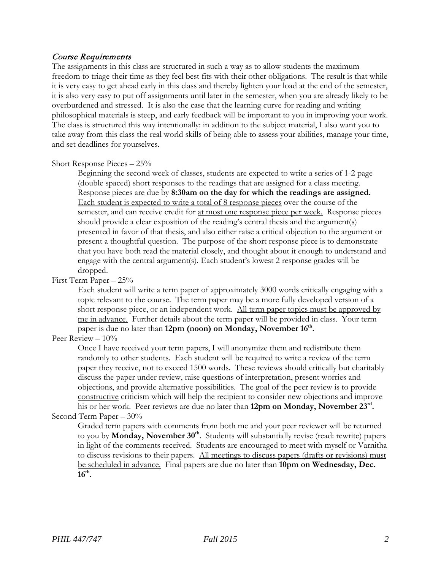### Course Requirements

The assignments in this class are structured in such a way as to allow students the maximum freedom to triage their time as they feel best fits with their other obligations. The result is that while it is very easy to get ahead early in this class and thereby lighten your load at the end of the semester, it is also very easy to put off assignments until later in the semester, when you are already likely to be overburdened and stressed. It is also the case that the learning curve for reading and writing philosophical materials is steep, and early feedback will be important to you in improving your work. The class is structured this way intentionally: in addition to the subject material, I also want you to take away from this class the real world skills of being able to assess your abilities, manage your time, and set deadlines for yourselves.

#### Short Response Pieces – 25%

Beginning the second week of classes, students are expected to write a series of 1-2 page (double spaced) short responses to the readings that are assigned for a class meeting. Response pieces are due by **8:30am on the day for which the readings are assigned.** Each student is expected to write a total of 8 response pieces over the course of the semester, and can receive credit for at most one response piece per week. Response pieces should provide a clear exposition of the reading's central thesis and the argument(s) presented in favor of that thesis, and also either raise a critical objection to the argument or present a thoughtful question. The purpose of the short response piece is to demonstrate that you have both read the material closely, and thought about it enough to understand and engage with the central argument(s). Each student's lowest 2 response grades will be dropped.

# First Term Paper – 25%

Each student will write a term paper of approximately 3000 words critically engaging with a topic relevant to the course. The term paper may be a more fully developed version of a short response piece, or an independent work. All term paper topics must be approved by me in advance. Further details about the term paper will be provided in class. Your term paper is due no later than **12pm (noon) on Monday, November 16th.**

### Peer Review -  $10\%$

Once I have received your term papers, I will anonymize them and redistribute them randomly to other students. Each student will be required to write a review of the term paper they receive, not to exceed 1500 words. These reviews should critically but charitably discuss the paper under review, raise questions of interpretation, present worries and objections, and provide alternative possibilities. The goal of the peer review is to provide constructive criticism which will help the recipient to consider new objections and improve his or her work. Peer reviews are due no later than **12pm on Monday, November 23rd.**

#### Second Term Paper – 30%

Graded term papers with comments from both me and your peer reviewer will be returned to you by **Monday, November 30th**. Students will substantially revise (read: rewrite) papers in light of the comments received. Students are encouraged to meet with myself or Varnitha to discuss revisions to their papers. All meetings to discuss papers (drafts or revisions) must be scheduled in advance. Final papers are due no later than **10pm on Wednesday, Dec. 16th.**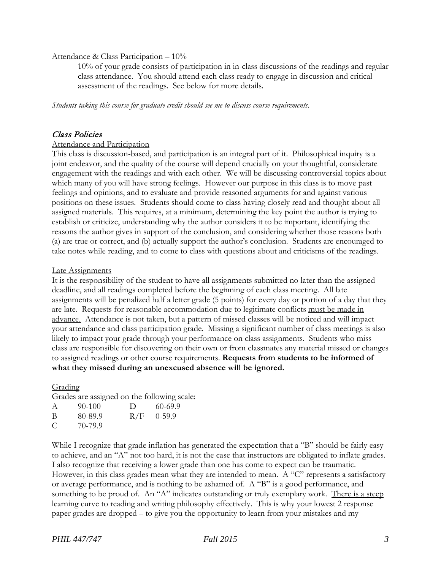#### Attendance & Class Participation – 10%

10% of your grade consists of participation in in-class discussions of the readings and regular class attendance. You should attend each class ready to engage in discussion and critical assessment of the readings. See below for more details.

*Students taking this course for graduate credit should see me to discuss course requirements.*

### Class Policies

#### Attendance and Participation

This class is discussion-based, and participation is an integral part of it. Philosophical inquiry is a joint endeavor, and the quality of the course will depend crucially on your thoughtful, considerate engagement with the readings and with each other. We will be discussing controversial topics about which many of you will have strong feelings. However our purpose in this class is to move past feelings and opinions, and to evaluate and provide reasoned arguments for and against various positions on these issues. Students should come to class having closely read and thought about all assigned materials. This requires, at a minimum, determining the key point the author is trying to establish or criticize, understanding why the author considers it to be important, identifying the reasons the author gives in support of the conclusion, and considering whether those reasons both (a) are true or correct, and (b) actually support the author's conclusion. Students are encouraged to take notes while reading, and to come to class with questions about and criticisms of the readings.

#### Late Assignments

It is the responsibility of the student to have all assignments submitted no later than the assigned deadline, and all readings completed before the beginning of each class meeting. All late assignments will be penalized half a letter grade (5 points) for every day or portion of a day that they are late. Requests for reasonable accommodation due to legitimate conflicts must be made in advance.Attendance is not taken, but a pattern of missed classes will be noticed and will impact your attendance and class participation grade. Missing a significant number of class meetings is also likely to impact your grade through your performance on class assignments. Students who miss class are responsible for discovering on their own or from classmates any material missed or changes to assigned readings or other course requirements. **Requests from students to be informed of what they missed during an unexcused absence will be ignored.**

### Grading

Grades are assigned on the following scale:

| $\mathcal{A}$ | $90-100$ | D   | 60-69.9  |
|---------------|----------|-----|----------|
| B             | 80-89.9  | R/F | $0-59.9$ |
| C             | 70-79.9  |     |          |

While I recognize that grade inflation has generated the expectation that a "B" should be fairly easy to achieve, and an "A" not too hard, it is not the case that instructors are obligated to inflate grades. I also recognize that receiving a lower grade than one has come to expect can be traumatic. However, in this class grades mean what they are intended to mean. A "C" represents a satisfactory or average performance, and is nothing to be ashamed of. A "B" is a good performance, and something to be proud of. An "A" indicates outstanding or truly exemplary work. There is a steep learning curve to reading and writing philosophy effectively. This is why your lowest 2 response paper grades are dropped – to give you the opportunity to learn from your mistakes and my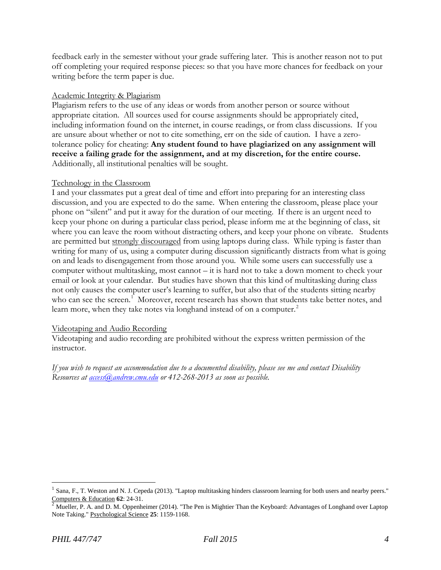feedback early in the semester without your grade suffering later. This is another reason not to put off completing your required response pieces: so that you have more chances for feedback on your writing before the term paper is due.

#### Academic Integrity & Plagiarism

Plagiarism refers to the use of any ideas or words from another person or source without appropriate citation. All sources used for course assignments should be appropriately cited, including information found on the internet, in course readings, or from class discussions. If you are unsure about whether or not to cite something, err on the side of caution. I have a zerotolerance policy for cheating: **Any student found to have plagiarized on any assignment will receive a failing grade for the assignment, and at my discretion, for the entire course.** Additionally, all institutional penalties will be sought.

#### Technology in the Classroom

I and your classmates put a great deal of time and effort into preparing for an interesting class discussion, and you are expected to do the same. When entering the classroom, please place your phone on "silent" and put it away for the duration of our meeting. If there is an urgent need to keep your phone on during a particular class period, please inform me at the beginning of class, sit where you can leave the room without distracting others, and keep your phone on vibrate. Students are permitted but strongly discouraged from using laptops during class. While typing is faster than writing for many of us, using a computer during discussion significantly distracts from what is going on and leads to disengagement from those around you. While some users can successfully use a computer without multitasking, most cannot – it is hard not to take a down moment to check your email or look at your calendar. But studies have shown that this kind of multitasking during class not only causes the computer user's learning to suffer, but also that of the students sitting nearby who can see the screen.<sup>[1](#page-3-0)</sup> Moreover, recent research has shown that students take better notes, and learn more, when they take notes via longhand instead of on a computer.<sup>[2](#page-3-1)</sup>

### Videotaping and Audio Recording

Videotaping and audio recording are prohibited without the express written permission of the instructor.

*If you wish to request an accommodation due to a documented disability, please see me and contact Disability Resources at [access@andrew.cmu.edu](mailto:access@andrew.cmu.edu) or 412-268-2013 as soon as possible.*

<span id="page-3-0"></span><sup>&</sup>lt;sup>1</sup> Sana, F., T. Weston and N. J. Cepeda (2013). "Laptop multitasking hinders classroom learning for both users and nearby peers." Computers & Education **62**: 24-31.<br><sup>2</sup> Mueller, P. A. and D. M. Oppenheimer (2014). "The Pen is Mightier Than the Keyboard: Advantages of Longhand over Laptop

<span id="page-3-1"></span>Note Taking." Psychological Science **25**: 1159-1168.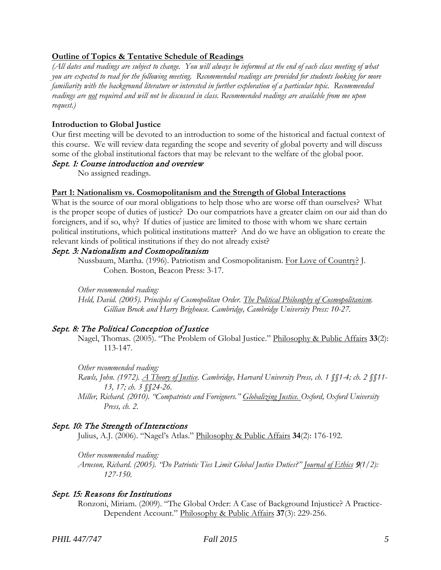## **Outline of Topics & Tentative Schedule of Readings**

*(All dates and readings are subject to change. You will always be informed at the end of each class meeting of what you are expected to read for the following meeting. Recommended readings are provided for students looking for more familiarity with the background literature or interested in further exploration of a particular topic. Recommended readings are not required and will not be discussed in class. Recommended readings are available from me upon request.)*

### **Introduction to Global Justice**

Our first meeting will be devoted to an introduction to some of the historical and factual context of this course. We will review data regarding the scope and severity of global poverty and will discuss some of the global institutional factors that may be relevant to the welfare of the global poor.

#### Sept. 1: Course introduction and overview

No assigned readings.

#### **Part 1: Nationalism vs. Cosmopolitanism and the Strength of Global Interactions**

What is the source of our moral obligations to help those who are worse off than ourselves? What is the proper scope of duties of justice? Do our compatriots have a greater claim on our aid than do foreigners, and if so, why? If duties of justice are limited to those with whom we share certain political institutions, which political institutions matter? And do we have an obligation to create the relevant kinds of political institutions if they do not already exist?

### Sept. 3: Nationalism and Cosmopolitanism

Nussbaum, Martha. (1996). Patriotism and Cosmopolitanism. For Love of Country? J. Cohen. Boston, Beacon Press: 3-17.

*Other recommended reading:*

*Held, David. (2005). Principles of Cosmopolitan Order. The Political Philosophy of Cosmopolitanism. Gillian Brock and Harry Brighouse. Cambridge, Cambridge University Press: 10-27.*

# Sept. 8: The Political Conception of Justice

Nagel, Thomas. (2005). "The Problem of Global Justice." Philosophy & Public Affairs **33**(2): 113-147.

*Other recommended reading: Rawls, John. (1972). A Theory of Justice. Cambridge, Harvard University Press, ch. 1 §§1-4; ch. 2 §§11- 13, 17; ch. 3 §§24-26.*

*Miller, Richard. (2010). "Compatriots and Foreigners." Globalizing Justice. Oxford, Oxford University Press, ch. 2.*

### Sept. 10: The Strength of Interactions

Julius, A.J. (2006). "Nagel's Atlas." Philosophy & Public Affairs **34**(2): 176-192.

*Other recommended reading:*

*Arneson, Richard. (2005). "Do Patriotic Ties Limit Global Justice Duties?" Journal of Ethics* <sup>9</sup>*(1/2): 127-150.*

### Sept. 15: Reasons for Institutions

Ronzoni, Miriam. (2009). "The Global Order: A Case of Background Injustice? A Practice-Dependent Account." Philosophy & Public Affairs **37**(3): 229-256.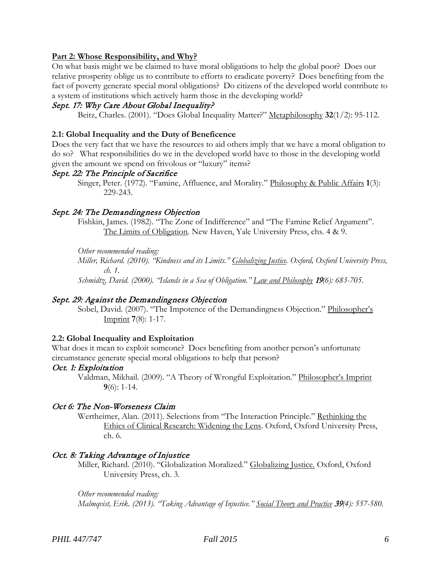### **Part 2: Whose Responsibility, and Why?**

On what basis might we be claimed to have moral obligations to help the global poor? Does our relative prosperity oblige us to contribute to efforts to eradicate poverty? Does benefiting from the fact of poverty generate special moral obligations? Do citizens of the developed world contribute to a system of institutions which actively harm those in the developing world?

### Sept. 17: Why Care About Global Inequality?

Beitz, Charles. (2001). "Does Global Inequality Matter?" Metaphilosophy **32**(1/2): 95-112.

### **2.1: Global Inequality and the Duty of Beneficence**

Does the very fact that we have the resources to aid others imply that we have a moral obligation to do so? What responsibilities do we in the developed world have to those in the developing world given the amount we spend on frivolous or "luxury" items?

#### Sept. 22: The Principle of Sacrifice

Singer, Peter. (1972). "Famine, Affluence, and Morality." Philosophy & Public Affairs **1**(3): 229-243.

#### Sept. 24: The Demandingness Objection

Fishkin, James. (1982). "The Zone of Indifference" and "The Famine Relief Argument". The Limits of Obligation. New Haven, Yale University Press, chs. 4 & 9.

*Other recommended reading:*

*Miller, Richard. (2010). "Kindness and its Limits." Globalizing Justice. Oxford, Oxford University Press, ch. 1.*

*Schmidtz, David. (2000). "Islands in a Sea of Obligation." Law and Philosophy* <sup>19</sup>*(6): 683-705.*

### Sept. 29: Against the Demandingness Objection

Sobel, David. (2007). "The Impotence of the Demandingness Objection." Philosopher's Imprint **7**(8): 1-17.

#### **2.2: Global Inequality and Exploitation**

What does it mean to exploit someone? Does benefiting from another person's unfortunate circumstance generate special moral obligations to help that person?

#### Oct. 1: Exploitation

Valdman, Mikhail. (2009). "A Theory of Wrongful Exploitation." Philosopher's Imprint **9**(6): 1-14.

#### Oct 6: The Non-Worseness Claim

Wertheimer, Alan. (2011). Selections from "The Interaction Principle." Rethinking the Ethics of Clinical Research: Widening the Lens. Oxford, Oxford University Press, ch. 6.

### Oct. 8: Taking Advantage of Injustice

Miller, Richard. (2010). "Globalization Moralized." Globalizing Justice. Oxford, Oxford University Press, ch. 3.

*Other recommended reading: Malmqvist, Erik. (2013). "Taking Advantage of Injustice." Social Theory and Practice* <sup>39</sup>*(4): 557-580.*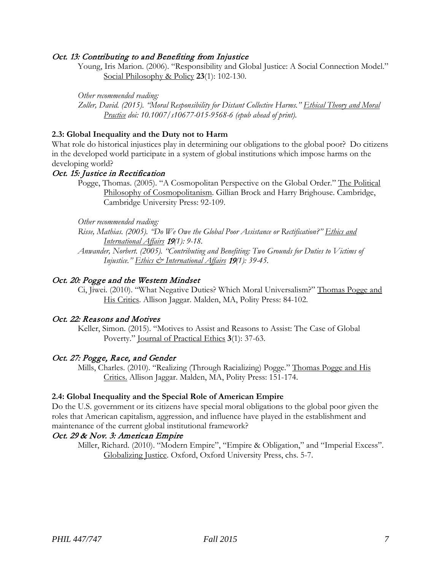### Oct. 13: Contributing to and Benefiting from Injustice

Young, Iris Marion. (2006). "Responsibility and Global Justice: A Social Connection Model." Social Philosophy & Policy **23**(1): 102-130.

*Other recommended reading:*

*Zoller, David. (2015). "Moral Responsibility for Distant Collective Harms." Ethical Theory and Moral Practice doi: 10.1007/s10677-015-9568-6 (epub ahead of print).*

## **2.3: Global Inequality and the Duty not to Harm**

What role do historical injustices play in determining our obligations to the global poor? Do citizens in the developed world participate in a system of global institutions which impose harms on the developing world?

# Oct. 15: Justice in Rectification

Pogge, Thomas. (2005). "A Cosmopolitan Perspective on the Global Order." The Political Philosophy of Cosmopolitanism. Gillian Brock and Harry Brighouse. Cambridge, Cambridge University Press: 92-109.

*Other recommended reading:*

*Risse, Mathias. (2005). "Do We Owe the Global Poor Assistance or Rectification?" Ethics and International Affairs* <sup>19</sup>*(1): 9-18.*

*Anwander, Norbert. (2005). "Contributing and Benefiting: Two Grounds for Duties to Victims of Injustice." Ethics & International Affairs* <sup>19</sup>*(1): 39-45.*

### Oct. 20: Pogge and the Western Mindset

Ci, Jiwei. (2010). "What Negative Duties? Which Moral Universalism?" Thomas Pogge and His Critics. Allison Jaggar. Malden, MA, Polity Press: 84-102.

### Oct. 22: Reasons and Motives

Keller, Simon. (2015). "Motives to Assist and Reasons to Assist: The Case of Global Poverty." Journal of Practical Ethics **3**(1): 37-63.

### Oct. 27: Pogge, Race, and Gender

Mills, Charles. (2010). "Realizing (Through Racializing) Pogge." Thomas Pogge and His Critics. Allison Jaggar. Malden, MA, Polity Press: 151-174.

#### **2.4: Global Inequality and the Special Role of American Empire**

Do the U.S. government or its citizens have special moral obligations to the global poor given the roles that American capitalism, aggression, and influence have played in the establishment and maintenance of the current global institutional framework?

# Oct. 29 & Nov. 3: American Empire

Miller, Richard. (2010). "Modern Empire", "Empire & Obligation," and "Imperial Excess". Globalizing Justice. Oxford, Oxford University Press, chs. 5-7.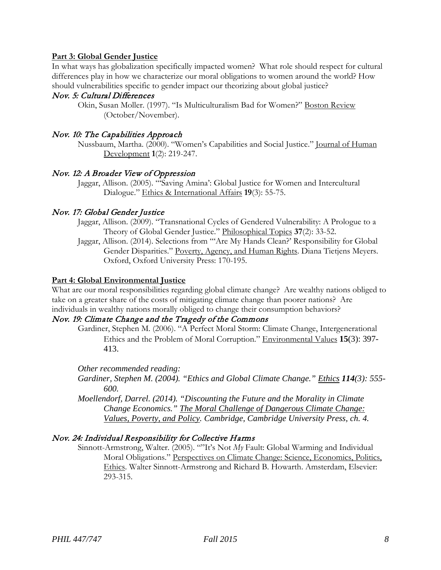## **Part 3: Global Gender Justice**

In what ways has globalization specifically impacted women? What role should respect for cultural differences play in how we characterize our moral obligations to women around the world? How should vulnerabilities specific to gender impact our theorizing about global justice?

# Nov. 5: Cultural Differences

Okin, Susan Moller. (1997). "Is Multiculturalism Bad for Women?" Boston Review (October/November).

# Nov. 10: The Capabilities Approach

Nussbaum, Martha. (2000). "Women's Capabilities and Social Justice." Journal of Human Development **1**(2): 219-247.

# Nov. 12: A Broader View of Oppression

Jaggar, Allison. (2005). "'Saving Amina': Global Justice for Women and Intercultural Dialogue." Ethics & International Affairs **19**(3): 55-75.

# Nov. 17: Global Gender Justice

- Jaggar, Allison. (2009). "Transnational Cycles of Gendered Vulnerability: A Prologue to a Theory of Global Gender Justice." Philosophical Topics **37**(2): 33-52.
- Jaggar, Allison. (2014). Selections from "'Are My Hands Clean?' Responsibility for Global Gender Disparities." Poverty, Agency, and Human Rights. Diana Tietjens Meyers. Oxford, Oxford University Press: 170-195.

#### **Part 4: Global Environmental Justice**

What are our moral responsibilities regarding global climate change? Are wealthy nations obliged to take on a greater share of the costs of mitigating climate change than poorer nations? Are individuals in wealthy nations morally obliged to change their consumption behaviors?

# Nov. 19: Climate Change and the Tragedy of the Commons

Gardiner, Stephen M. (2006). "A Perfect Moral Storm: Climate Change, Intergenerational Ethics and the Problem of Moral Corruption." Environmental Values **15**(3): 397- 413.

#### *Other recommended reading:*

- *Gardiner, Stephen M. (2004). "Ethics and Global Climate Change." Ethics 114(3): 555- 600.*
- *Moellendorf, Darrel. (2014). "Discounting the Future and the Morality in Climate Change Economics." The Moral Challenge of Dangerous Climate Change: Values, Poverty, and Policy. Cambridge, Cambridge University Press, ch. 4.*

### Nov. 24: Individual Responsibility for Collective Harms

Sinnott-Armstrong, Walter. (2005). ""It's Not *My* Fault: Global Warming and Individual Moral Obligations." Perspectives on Climate Change: Science, Economics, Politics, Ethics. Walter Sinnott-Armstrong and Richard B. Howarth. Amsterdam, Elsevier: 293-315.